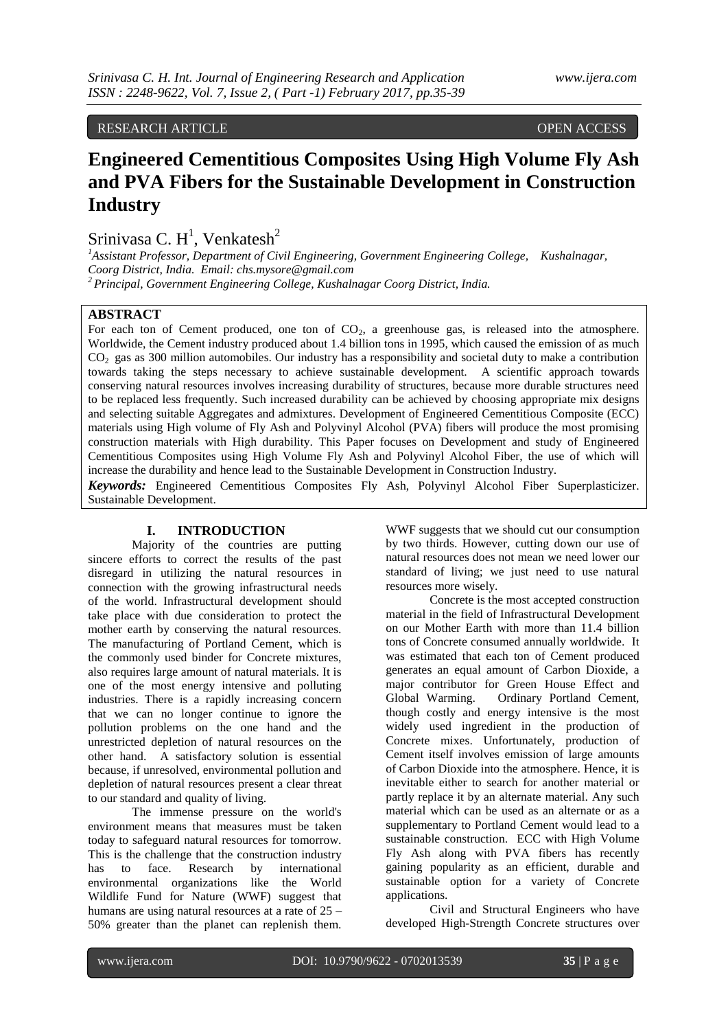RESEARCH ARTICLE OPEN ACCESS

# **Engineered Cementitious Composites Using High Volume Fly Ash and PVA Fibers for the Sustainable Development in Construction Industry**

Srinivasa C.  $H^1$ , Venkatesh<sup>2</sup>

*<sup>1</sup>Assistant Professor, Department of Civil Engineering, Government Engineering College, Kushalnagar, Coorg District, India. Email: chs.mysore@gmail.com <sup>2</sup>Principal, Government Engineering College, Kushalnagar Coorg District, India.*

#### **ABSTRACT**

For each ton of Cement produced, one ton of  $CO<sub>2</sub>$ , a greenhouse gas, is released into the atmosphere. Worldwide, the Cement industry produced about 1.4 billion tons in 1995, which caused the emission of as much CO<sup>2</sup> gas as 300 million automobiles. Our industry has a responsibility and societal duty to make a contribution towards taking the steps necessary to achieve sustainable development. A scientific approach towards conserving natural resources involves increasing durability of structures, because more durable structures need to be replaced less frequently. Such increased durability can be achieved by choosing appropriate mix designs and selecting suitable Aggregates and admixtures. Development of Engineered Cementitious Composite (ECC) materials using High volume of Fly Ash and Polyvinyl Alcohol (PVA) fibers will produce the most promising construction materials with High durability. This Paper focuses on Development and study of Engineered Cementitious Composites using High Volume Fly Ash and Polyvinyl Alcohol Fiber, the use of which will increase the durability and hence lead to the Sustainable Development in Construction Industry. *Keywords:* Engineered Cementitious Composites Fly Ash, Polyvinyl Alcohol Fiber Superplasticizer. Sustainable Development.

## **I. INTRODUCTION**

Majority of the countries are putting sincere efforts to correct the results of the past disregard in utilizing the natural resources in connection with the growing infrastructural needs of the world. Infrastructural development should take place with due consideration to protect the mother earth by conserving the natural resources. The manufacturing of Portland Cement, which is the commonly used binder for Concrete mixtures, also requires large amount of natural materials. It is one of the most energy intensive and polluting industries. There is a rapidly increasing concern that we can no longer continue to ignore the pollution problems on the one hand and the unrestricted depletion of natural resources on the other hand. A satisfactory solution is essential because, if unresolved, environmental pollution and depletion of natural resources present a clear threat to our standard and quality of living.

The immense pressure on the world's environment means that measures must be taken today to safeguard natural resources for tomorrow. This is the challenge that the construction industry has to face. Research by international environmental organizations like the World Wildlife Fund for Nature (WWF) suggest that humans are using natural resources at a rate of  $25 -$ 50% greater than the planet can replenish them. WWF suggests that we should cut our consumption by two thirds. However, cutting down our use of natural resources does not mean we need lower our standard of living; we just need to use natural resources more wisely.

Concrete is the most accepted construction material in the field of Infrastructural Development on our Mother Earth with more than 11.4 billion tons of Concrete consumed annually worldwide. It was estimated that each ton of Cement produced generates an equal amount of Carbon Dioxide, a major contributor for Green House Effect and Global Warming. Ordinary Portland Cement, though costly and energy intensive is the most widely used ingredient in the production of Concrete mixes. Unfortunately, production of Cement itself involves emission of large amounts of Carbon Dioxide into the atmosphere. Hence, it is inevitable either to search for another material or partly replace it by an alternate material. Any such material which can be used as an alternate or as a supplementary to Portland Cement would lead to a sustainable construction. ECC with High Volume Fly Ash along with PVA fibers has recently gaining popularity as an efficient, durable and sustainable option for a variety of Concrete applications.

Civil and Structural Engineers who have developed High-Strength Concrete structures over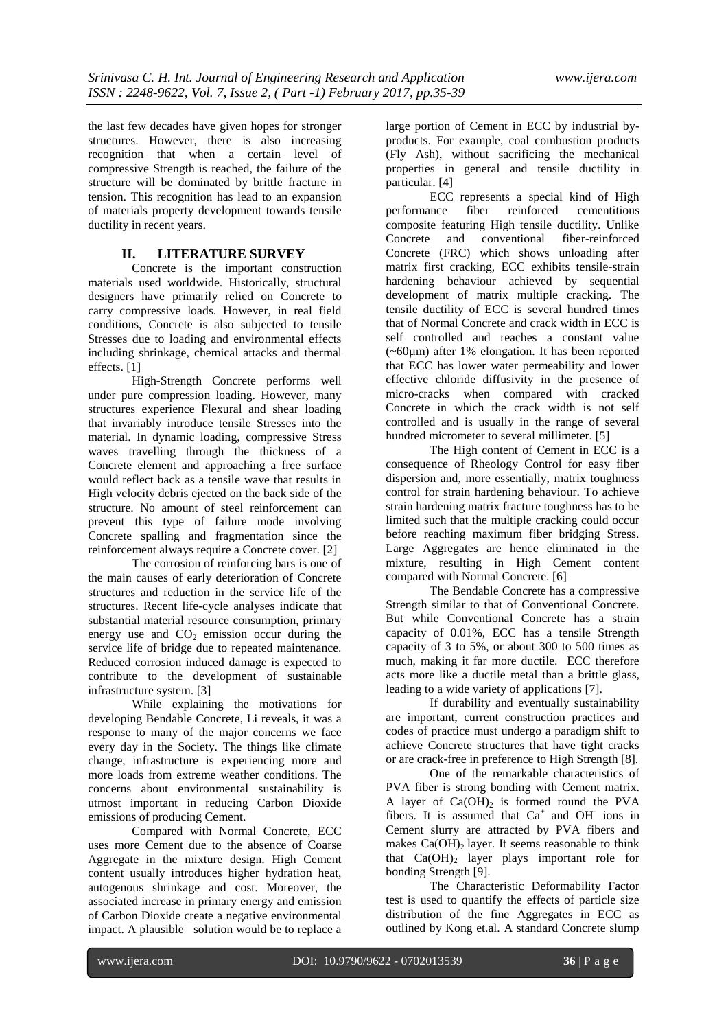the last few decades have given hopes for stronger structures. However, there is also increasing recognition that when a certain level of compressive Strength is reached, the failure of the structure will be dominated by brittle fracture in tension. This recognition has lead to an expansion of materials property development towards tensile ductility in recent years.

### **II. LITERATURE SURVEY**

Concrete is the important construction materials used worldwide. Historically, structural designers have primarily relied on Concrete to carry compressive loads. However, in real field conditions, Concrete is also subjected to tensile Stresses due to loading and environmental effects including shrinkage, chemical attacks and thermal effects. [1]

High-Strength Concrete performs well under pure compression loading. However, many structures experience Flexural and shear loading that invariably introduce tensile Stresses into the material. In dynamic loading, compressive Stress waves travelling through the thickness of a Concrete element and approaching a free surface would reflect back as a tensile wave that results in High velocity debris ejected on the back side of the structure. No amount of steel reinforcement can prevent this type of failure mode involving Concrete spalling and fragmentation since the reinforcement always require a Concrete cover. [2]

The corrosion of reinforcing bars is one of the main causes of early deterioration of Concrete structures and reduction in the service life of the structures. Recent life-cycle analyses indicate that substantial material resource consumption, primary energy use and  $CO<sub>2</sub>$  emission occur during the service life of bridge due to repeated maintenance. Reduced corrosion induced damage is expected to contribute to the development of sustainable infrastructure system. [3]

While explaining the motivations for developing Bendable Concrete, Li reveals, it was a response to many of the major concerns we face every day in the Society. The things like climate change, infrastructure is experiencing more and more loads from extreme weather conditions. The concerns about environmental sustainability is utmost important in reducing Carbon Dioxide emissions of producing Cement.

Compared with Normal Concrete, ECC uses more Cement due to the absence of Coarse Aggregate in the mixture design. High Cement content usually introduces higher hydration heat, autogenous shrinkage and cost. Moreover, the associated increase in primary energy and emission of Carbon Dioxide create a negative environmental impact. A plausible solution would be to replace a

large portion of Cement in ECC by industrial byproducts. For example, coal combustion products (Fly Ash), without sacrificing the mechanical properties in general and tensile ductility in particular. [4]

ECC represents a special kind of High<br>nnce fiber reinforced cementitious performance fiber reinforced composite featuring High tensile ductility. Unlike Concrete and conventional fiber-reinforced Concrete (FRC) which shows unloading after matrix first cracking, ECC exhibits tensile-strain hardening behaviour achieved by sequential development of matrix multiple cracking. The tensile ductility of ECC is several hundred times that of Normal Concrete and crack width in ECC is self controlled and reaches a constant value (~60µm) after 1% elongation. It has been reported that ECC has lower water permeability and lower effective chloride diffusivity in the presence of micro-cracks when compared with cracked Concrete in which the crack width is not self controlled and is usually in the range of several hundred micrometer to several millimeter. [5]

The High content of Cement in ECC is a consequence of Rheology Control for easy fiber dispersion and, more essentially, matrix toughness control for strain hardening behaviour. To achieve strain hardening matrix fracture toughness has to be limited such that the multiple cracking could occur before reaching maximum fiber bridging Stress. Large Aggregates are hence eliminated in the mixture, resulting in High Cement content compared with Normal Concrete. [6]

The Bendable Concrete has a compressive Strength similar to that of Conventional Concrete. But while Conventional Concrete has a strain capacity of 0.01%, ECC has a tensile Strength capacity of 3 to 5%, or about 300 to 500 times as much, making it far more ductile. ECC therefore acts more like a ductile metal than a brittle glass, leading to a wide variety of applications [7].

If durability and eventually sustainability are important, current construction practices and codes of practice must undergo a paradigm shift to achieve Concrete structures that have tight cracks or are crack-free in preference to High Strength [8].

One of the remarkable characteristics of PVA fiber is strong bonding with Cement matrix. A layer of  $Ca(OH)_2$  is formed round the PVA fibers. It is assumed that  $Ca^+$  and OH ions in Cement slurry are attracted by PVA fibers and makes  $Ca(OH)$ <sub>2</sub> layer. It seems reasonable to think that  $Ca(OH)$ <sub>2</sub> layer plays important role for bonding Strength [9].

The Characteristic Deformability Factor test is used to quantify the effects of particle size distribution of the fine Aggregates in ECC as outlined by Kong et.al. A standard Concrete slump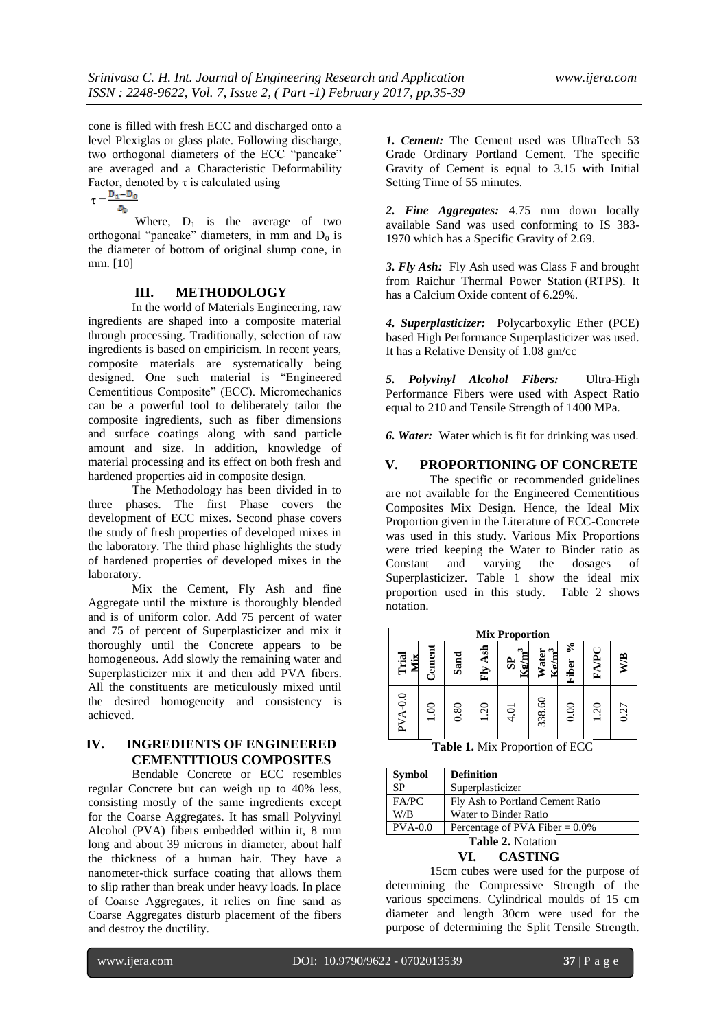cone is filled with fresh ECC and discharged onto a level Plexiglas or glass plate. Following discharge, two orthogonal diameters of the ECC "pancake" are averaged and a Characteristic Deformability Factor, denoted by  $\tau$  is calculated using

 $\tau = \frac{D_1 - D_0}{\sqrt{2}}$  $D_0$ 

Where,  $D_1$  is the average of two orthogonal "pancake" diameters, in mm and  $D_0$  is the diameter of bottom of original slump cone, in mm. [10]

## **III. METHODOLOGY**

In the world of Materials Engineering, raw ingredients are shaped into a composite material through processing. Traditionally, selection of raw ingredients is based on empiricism. In recent years, composite materials are systematically being designed. One such material is "Engineered Cementitious Composite" (ECC). Micromechanics can be a powerful tool to deliberately tailor the composite ingredients, such as fiber dimensions and surface coatings along with sand particle amount and size. In addition, knowledge of material processing and its effect on both fresh and hardened properties aid in composite design.

The Methodology has been divided in to three phases. The first Phase covers the development of ECC mixes. Second phase covers the study of fresh properties of developed mixes in the laboratory. The third phase highlights the study of hardened properties of developed mixes in the laboratory.

Mix the Cement, Fly Ash and fine Aggregate until the mixture is thoroughly blended and is of uniform color. Add 75 percent of water and 75 of percent of Superplasticizer and mix it thoroughly until the Concrete appears to be homogeneous. Add slowly the remaining water and Superplasticizer mix it and then add PVA fibers. All the constituents are meticulously mixed until the desired homogeneity and consistency is achieved.

# **IV. INGREDIENTS OF ENGINEERED CEMENTITIOUS COMPOSITES**

Bendable Concrete or ECC resembles regular Concrete but can weigh up to 40% less, consisting mostly of the same ingredients except for the Coarse Aggregates. It has small Polyvinyl Alcohol (PVA) fibers embedded within it, 8 mm long and about 39 microns in diameter, about half the thickness of a human hair. They have a nanometer-thick surface coating that allows them to slip rather than break under heavy loads. In place of Coarse Aggregates, it relies on fine sand as Coarse Aggregates disturb placement of the fibers and destroy the ductility.

*1. Cement:* The Cement used was UltraTech 53 Grade Ordinary Portland Cement. The specific Gravity of Cement is equal to 3.15 **w**ith Initial Setting Time of 55 minutes.

*2. Fine Aggregates:* 4.75 mm down locally available Sand was used conforming to IS 383- 1970 which has a Specific Gravity of 2.69.

*3. Fly Ash:* Fly Ash used was Class F and brought from Raichur Thermal Power Station (RTPS). It has a Calcium Oxide content of 6.29%.

*4. Superplasticizer:* Polycarboxylic Ether (PCE) based High Performance Superplasticizer was used. It has a Relative Density of 1.08 gm/cc

*5. Polyvinyl Alcohol Fibers:* Ultra-High Performance Fibers were used with Aspect Ratio equal to 210 and Tensile Strength of 1400 MPa.

*6. Water:* Water which is fit for drinking was used.

### **V. PROPORTIONING OF CONCRETE**

The specific or recommended guidelines are not available for the Engineered Cementitious Composites Mix Design. Hence, the Ideal Mix Proportion given in the Literature of ECC-Concrete was used in this study. Various Mix Proportions were tried keeping the Water to Binder ratio as Constant and varying the dosages of Superplasticizer. Table 1 show the ideal mix proportion used in this study. Table 2 shows notation.



**Table 1.** Mix Proportion of ECC

| <b>Symbol</b>            | <b>Definition</b>                 |  |  |  |
|--------------------------|-----------------------------------|--|--|--|
| <b>SP</b>                | Superplasticizer                  |  |  |  |
| FA/PC                    | Fly Ash to Portland Cement Ratio  |  |  |  |
| W/B                      | Water to Binder Ratio             |  |  |  |
| $PVA-0.0$                | Percentage of PVA Fiber = $0.0\%$ |  |  |  |
| <b>Table 2. Notation</b> |                                   |  |  |  |

#### **VI. CASTING**

15cm cubes were used for the purpose of determining the Compressive Strength of the various specimens. Cylindrical moulds of 15 cm diameter and length 30cm were used for the purpose of determining the Split Tensile Strength.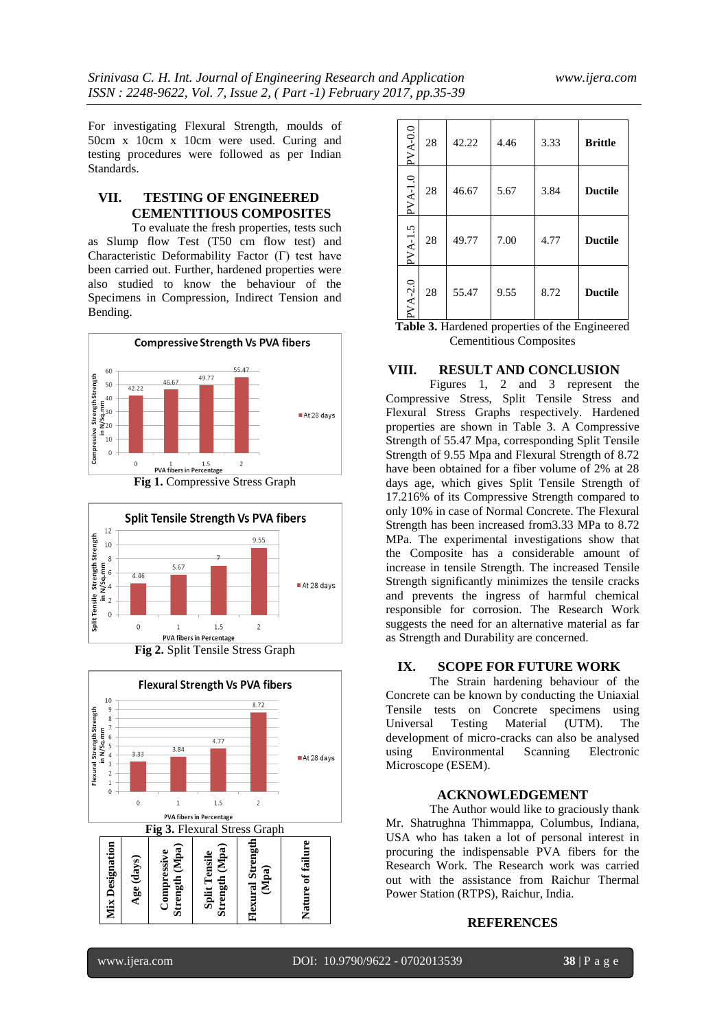For investigating Flexural Strength, moulds of 50cm x 10cm x 10cm were used. Curing and testing procedures were followed as per Indian Standards.

## **VII. TESTING OF ENGINEERED CEMENTITIOUS COMPOSITES**

To evaluate the fresh properties, tests such as Slump flow Test (T50 cm flow test) and Characteristic Deformability Factor (Γ) test have been carried out. Further, hardened properties were also studied to know the behaviour of the Specimens in Compression, Indirect Tension and Bending.











| $PVA-0.0$ | 28 | 42.22 | 4.46 | 3.33 | <b>Brittle</b> |
|-----------|----|-------|------|------|----------------|
| $PVA-1.0$ | 28 | 46.67 | 5.67 | 3.84 | <b>Ductile</b> |
| $PVA-1.5$ | 28 | 49.77 | 7.00 | 4.77 | <b>Ductile</b> |
| $PVA-2.0$ | 28 | 55.47 | 9.55 | 8.72 | <b>Ductile</b> |

**Table 3.** Hardened properties of the Engineered Cementitious Composites

#### **VIII. RESULT AND CONCLUSION**

Figures 1, 2 and 3 represent the Compressive Stress, Split Tensile Stress and Flexural Stress Graphs respectively. Hardened properties are shown in Table 3. A Compressive Strength of 55.47 Mpa, corresponding Split Tensile Strength of 9.55 Mpa and Flexural Strength of 8.72 have been obtained for a fiber volume of 2% at 28 days age, which gives Split Tensile Strength of 17.216% of its Compressive Strength compared to only 10% in case of Normal Concrete. The Flexural Strength has been increased from3.33 MPa to 8.72 MPa. The experimental investigations show that the Composite has a considerable amount of increase in tensile Strength. The increased Tensile Strength significantly minimizes the tensile cracks and prevents the ingress of harmful chemical responsible for corrosion. The Research Work suggests the need for an alternative material as far as Strength and Durability are concerned.

## **IX. SCOPE FOR FUTURE WORK**

The Strain hardening behaviour of the Concrete can be known by conducting the Uniaxial Tensile tests on Concrete specimens using Universal Testing Material (UTM). The development of micro-cracks can also be analysed using Environmental Scanning Electronic Microscope (ESEM).

#### **ACKNOWLEDGEMENT**

The Author would like to graciously thank Mr. Shatrughna Thimmappa, Columbus, Indiana, USA who has taken a lot of personal interest in procuring the indispensable PVA fibers for the Research Work. The Research work was carried out with the assistance from Raichur Thermal Power Station (RTPS), Raichur, India.

#### **REFERENCES**